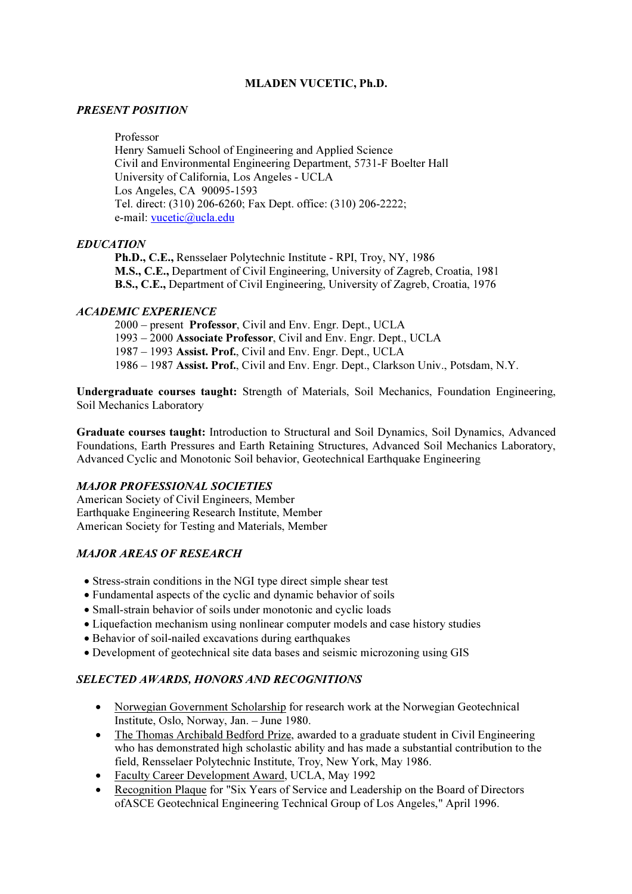### MLADEN VUCETIC, Ph.D.

### PRESENT POSITION

Professor

 Henry Samueli School of Engineering and Applied Science Civil and Environmental Engineering Department, 5731-F Boelter Hall University of California, Los Angeles - UCLA Los Angeles, CA 90095-1593 Tel. direct: (310) 206-6260; Fax Dept. office: (310) 206-2222; e-mail: vucetic@ucla.edu

# EDUCATION

Ph.D., C.E., Rensselaer Polytechnic Institute - RPI, Troy, NY, 1986 M.S., C.E., Department of Civil Engineering, University of Zagreb, Croatia, 1981 B.S., C.E., Department of Civil Engineering, University of Zagreb, Croatia, 1976

### ACADEMIC EXPERIENCE

2000 – present Professor, Civil and Env. Engr. Dept., UCLA 1993 – 2000 Associate Professor, Civil and Env. Engr. Dept., UCLA 1987 – 1993 Assist. Prof., Civil and Env. Engr. Dept., UCLA 1986 – 1987 Assist. Prof., Civil and Env. Engr. Dept., Clarkson Univ., Potsdam, N.Y.

Undergraduate courses taught: Strength of Materials, Soil Mechanics, Foundation Engineering, Soil Mechanics Laboratory

Graduate courses taught: Introduction to Structural and Soil Dynamics, Soil Dynamics, Advanced Foundations, Earth Pressures and Earth Retaining Structures, Advanced Soil Mechanics Laboratory, Advanced Cyclic and Monotonic Soil behavior, Geotechnical Earthquake Engineering

# MAJOR PROFESSIONAL SOCIETIES

American Society of Civil Engineers, Member Earthquake Engineering Research Institute, Member American Society for Testing and Materials, Member

# MAJOR AREAS OF RESEARCH

- Stress-strain conditions in the NGI type direct simple shear test
- Fundamental aspects of the cyclic and dynamic behavior of soils
- Small-strain behavior of soils under monotonic and cyclic loads
- Liquefaction mechanism using nonlinear computer models and case history studies
- Behavior of soil-nailed excavations during earthquakes
- Development of geotechnical site data bases and seismic microzoning using GIS

# SELECTED AWARDS, HONORS AND RECOGNITIONS

- Norwegian Government Scholarship for research work at the Norwegian Geotechnical Institute, Oslo, Norway, Jan. – June 1980.
- The Thomas Archibald Bedford Prize, awarded to a graduate student in Civil Engineering who has demonstrated high scholastic ability and has made a substantial contribution to the field, Rensselaer Polytechnic Institute, Troy, New York, May 1986.
- Faculty Career Development Award, UCLA, May 1992
- Recognition Plaque for "Six Years of Service and Leadership on the Board of Directors ofASCE Geotechnical Engineering Technical Group of Los Angeles," April 1996.